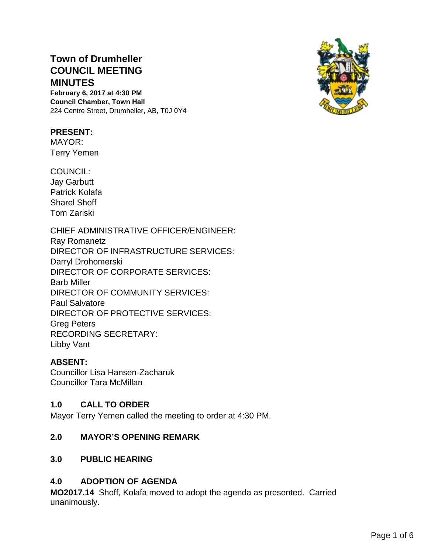# **Town of Drumheller COUNCIL MEETING MINUTES**

**February 6, 2017 at 4:30 PM Council Chamber, Town Hall** 224 Centre Street, Drumheller, AB, T0J 0Y4

#### **PRESENT:**

MAYOR: Terry Yemen

COUNCIL:

Jay Garbutt Patrick Kolafa Sharel Shoff Tom Zariski

CHIEF ADMINISTRATIVE OFFICER/ENGINEER: Ray Romanetz DIRECTOR OF INFRASTRUCTURE SERVICES: Darryl Drohomerski DIRECTOR OF CORPORATE SERVICES: Barb Miller DIRECTOR OF COMMUNITY SERVICES: Paul Salvatore DIRECTOR OF PROTECTIVE SERVICES: Greg Peters RECORDING SECRETARY: Libby Vant

# **ABSENT:**

Councillor Lisa Hansen-Zacharuk Councillor Tara McMillan

# **1.0 CALL TO ORDER**

Mayor Terry Yemen called the meeting to order at 4:30 PM.

# **2.0 MAYOR'S OPENING REMARK**

# **3.0 PUBLIC HEARING**

# **4.0 ADOPTION OF AGENDA**

**MO2017.14** Shoff, Kolafa moved to adopt the agenda as presented. Carried unanimously.

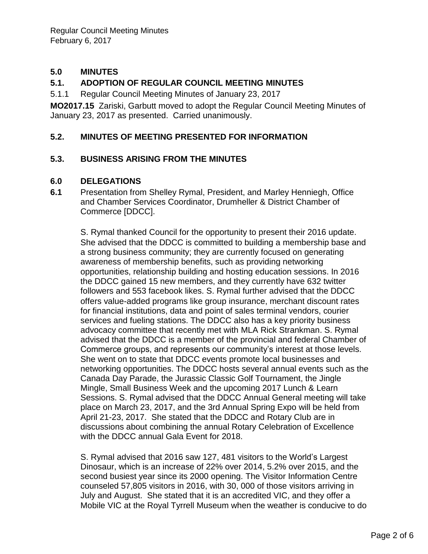# **5.0 MINUTES**

### **5.1. ADOPTION OF REGULAR COUNCIL MEETING MINUTES**

5.1.1 Regular Council Meeting Minutes of January 23, 2017

**MO2017.15** Zariski, Garbutt moved to adopt the Regular Council Meeting Minutes of January 23, 2017 as presented. Carried unanimously.

#### **5.2. MINUTES OF MEETING PRESENTED FOR INFORMATION**

#### **5.3. BUSINESS ARISING FROM THE MINUTES**

#### **6.0 DELEGATIONS**

**6.1** Presentation from Shelley Rymal, President, and Marley Henniegh, Office and Chamber Services Coordinator, Drumheller & District Chamber of Commerce [DDCC].

S. Rymal thanked Council for the opportunity to present their 2016 update. She advised that the DDCC is committed to building a membership base and a strong business community; they are currently focused on generating awareness of membership benefits, such as providing networking opportunities, relationship building and hosting education sessions. In 2016 the DDCC gained 15 new members, and they currently have 632 twitter followers and 553 facebook likes. S. Rymal further advised that the DDCC offers value-added programs like group insurance, merchant discount rates for financial institutions, data and point of sales terminal vendors, courier services and fueling stations. The DDCC also has a key priority business advocacy committee that recently met with MLA Rick Strankman. S. Rymal advised that the DDCC is a member of the provincial and federal Chamber of Commerce groups, and represents our community's interest at those levels. She went on to state that DDCC events promote local businesses and networking opportunities. The DDCC hosts several annual events such as the Canada Day Parade, the Jurassic Classic Golf Tournament, the Jingle Mingle, Small Business Week and the upcoming 2017 Lunch & Learn Sessions. S. Rymal advised that the DDCC Annual General meeting will take place on March 23, 2017, and the 3rd Annual Spring Expo will be held from April 21-23, 2017. She stated that the DDCC and Rotary Club are in discussions about combining the annual Rotary Celebration of Excellence with the DDCC annual Gala Event for 2018.

S. Rymal advised that 2016 saw 127, 481 visitors to the World's Largest Dinosaur, which is an increase of 22% over 2014, 5.2% over 2015, and the second busiest year since its 2000 opening. The Visitor Information Centre counseled 57,805 visitors in 2016, with 30, 000 of those visitors arriving in July and August. She stated that it is an accredited VIC, and they offer a Mobile VIC at the Royal Tyrrell Museum when the weather is conducive to do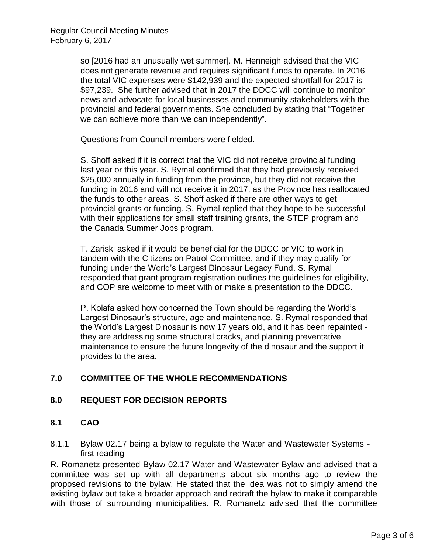so [2016 had an unusually wet summer]. M. Henneigh advised that the VIC does not generate revenue and requires significant funds to operate. In 2016 the total VIC expenses were \$142,939 and the expected shortfall for 2017 is \$97,239. She further advised that in 2017 the DDCC will continue to monitor news and advocate for local businesses and community stakeholders with the provincial and federal governments. She concluded by stating that "Together we can achieve more than we can independently".

Questions from Council members were fielded.

S. Shoff asked if it is correct that the VIC did not receive provincial funding last year or this year. S. Rymal confirmed that they had previously received \$25,000 annually in funding from the province, but they did not receive the funding in 2016 and will not receive it in 2017, as the Province has reallocated the funds to other areas. S. Shoff asked if there are other ways to get provincial grants or funding. S. Rymal replied that they hope to be successful with their applications for small staff training grants, the STEP program and the Canada Summer Jobs program.

T. Zariski asked if it would be beneficial for the DDCC or VIC to work in tandem with the Citizens on Patrol Committee, and if they may qualify for funding under the World's Largest Dinosaur Legacy Fund. S. Rymal responded that grant program registration outlines the guidelines for eligibility, and COP are welcome to meet with or make a presentation to the DDCC.

P. Kolafa asked how concerned the Town should be regarding the World's Largest Dinosaur's structure, age and maintenance. S. Rymal responded that the World's Largest Dinosaur is now 17 years old, and it has been repainted they are addressing some structural cracks, and planning preventative maintenance to ensure the future longevity of the dinosaur and the support it provides to the area.

# **7.0 COMMITTEE OF THE WHOLE RECOMMENDATIONS**

#### **8.0 REQUEST FOR DECISION REPORTS**

- **8.1 CAO**
- 8.1.1 Bylaw 02.17 being a bylaw to regulate the Water and Wastewater Systems first reading

R. Romanetz presented Bylaw 02.17 Water and Wastewater Bylaw and advised that a committee was set up with all departments about six months ago to review the proposed revisions to the bylaw. He stated that the idea was not to simply amend the existing bylaw but take a broader approach and redraft the bylaw to make it comparable with those of surrounding municipalities. R. Romanetz advised that the committee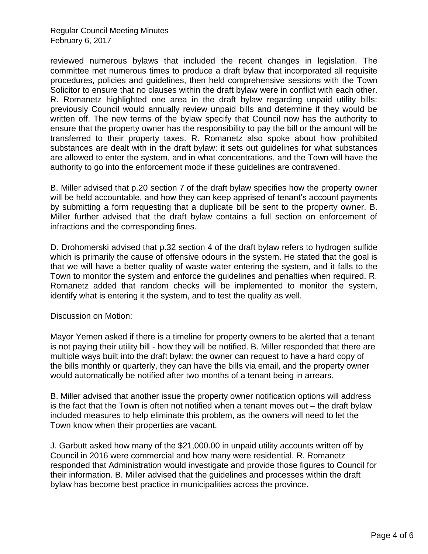Regular Council Meeting Minutes February 6, 2017

reviewed numerous bylaws that included the recent changes in legislation. The committee met numerous times to produce a draft bylaw that incorporated all requisite procedures, policies and guidelines, then held comprehensive sessions with the Town Solicitor to ensure that no clauses within the draft bylaw were in conflict with each other. R. Romanetz highlighted one area in the draft bylaw regarding unpaid utility bills: previously Council would annually review unpaid bills and determine if they would be written off. The new terms of the bylaw specify that Council now has the authority to ensure that the property owner has the responsibility to pay the bill or the amount will be transferred to their property taxes. R. Romanetz also spoke about how prohibited substances are dealt with in the draft bylaw: it sets out guidelines for what substances are allowed to enter the system, and in what concentrations, and the Town will have the authority to go into the enforcement mode if these guidelines are contravened.

B. Miller advised that p.20 section 7 of the draft bylaw specifies how the property owner will be held accountable, and how they can keep apprised of tenant's account payments by submitting a form requesting that a duplicate bill be sent to the property owner. B. Miller further advised that the draft bylaw contains a full section on enforcement of infractions and the corresponding fines.

D. Drohomerski advised that p.32 section 4 of the draft bylaw refers to hydrogen sulfide which is primarily the cause of offensive odours in the system. He stated that the goal is that we will have a better quality of waste water entering the system, and it falls to the Town to monitor the system and enforce the guidelines and penalties when required. R. Romanetz added that random checks will be implemented to monitor the system, identify what is entering it the system, and to test the quality as well.

Discussion on Motion:

Mayor Yemen asked if there is a timeline for property owners to be alerted that a tenant is not paying their utility bill - how they will be notified. B. Miller responded that there are multiple ways built into the draft bylaw: the owner can request to have a hard copy of the bills monthly or quarterly, they can have the bills via email, and the property owner would automatically be notified after two months of a tenant being in arrears.

B. Miller advised that another issue the property owner notification options will address is the fact that the Town is often not notified when a tenant moves out – the draft bylaw included measures to help eliminate this problem, as the owners will need to let the Town know when their properties are vacant.

J. Garbutt asked how many of the \$21,000.00 in unpaid utility accounts written off by Council in 2016 were commercial and how many were residential. R. Romanetz responded that Administration would investigate and provide those figures to Council for their information. B. Miller advised that the guidelines and processes within the draft bylaw has become best practice in municipalities across the province.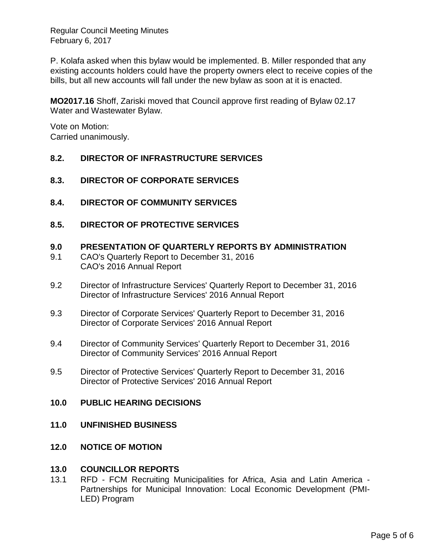Regular Council Meeting Minutes February 6, 2017

P. Kolafa asked when this bylaw would be implemented. B. Miller responded that any existing accounts holders could have the property owners elect to receive copies of the bills, but all new accounts will fall under the new bylaw as soon at it is enacted.

**MO2017.16** Shoff, Zariski moved that Council approve first reading of Bylaw 02.17 Water and Wastewater Bylaw.

Vote on Motion: Carried unanimously.

# **8.2. DIRECTOR OF INFRASTRUCTURE SERVICES**

#### **8.3. DIRECTOR OF CORPORATE SERVICES**

**8.4. DIRECTOR OF COMMUNITY SERVICES**

### **8.5. DIRECTOR OF PROTECTIVE SERVICES**

#### **9.0 PRESENTATION OF QUARTERLY REPORTS BY ADMINISTRATION**

- 9.1 CAO's Quarterly Report to December 31, 2016 CAO's 2016 Annual Report
- 9.2 Director of Infrastructure Services' Quarterly Report to December 31, 2016 Director of Infrastructure Services' 2016 Annual Report
- 9.3 Director of Corporate Services' Quarterly Report to December 31, 2016 Director of Corporate Services' 2016 Annual Report
- 9.4 Director of Community Services' Quarterly Report to December 31, 2016 Director of Community Services' 2016 Annual Report
- 9.5 Director of Protective Services' Quarterly Report to December 31, 2016 Director of Protective Services' 2016 Annual Report

#### **10.0 PUBLIC HEARING DECISIONS**

#### **11.0 UNFINISHED BUSINESS**

#### **12.0 NOTICE OF MOTION**

#### **13.0 COUNCILLOR REPORTS**

13.1 RFD - FCM Recruiting Municipalities for Africa, Asia and Latin America - Partnerships for Municipal Innovation: Local Economic Development (PMI-LED) Program